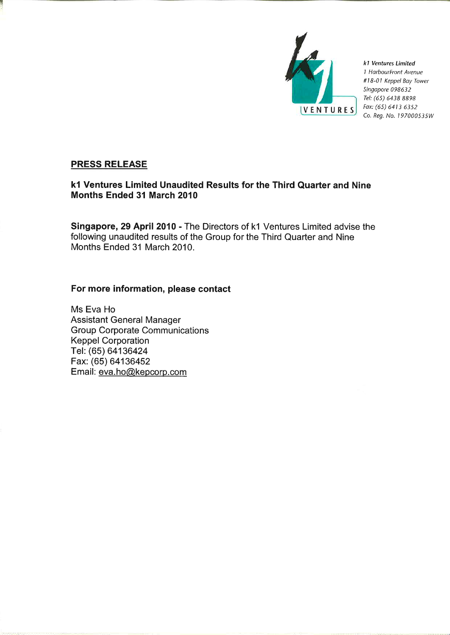

k1 Ventures Limited 1 HarbourFront Avenue #18-01 Keppel Bay Tower Singapore 098632 Tel: (65) 6438 8898 Fax: (65) 6413 6352 Co. Reg. No. 197000535W

# **PRESS RELEASE**

# k1 Ventures Limited Unaudited Results for the Third Quarter and Nine Months Ended 31 March 2010

Singapore, 29 April 2010 - The Directors of k1 Ventures Limited advise the following unaudited results of the Group for the Third Quarter and Nine Months Ended 31 March 2010.

# For more information, please contact

Ms Eva Ho **Assistant General Manager Group Corporate Communications Keppel Corporation** Tel: (65) 64136424 Fax: (65) 64136452 Email: eva.ho@kepcorp.com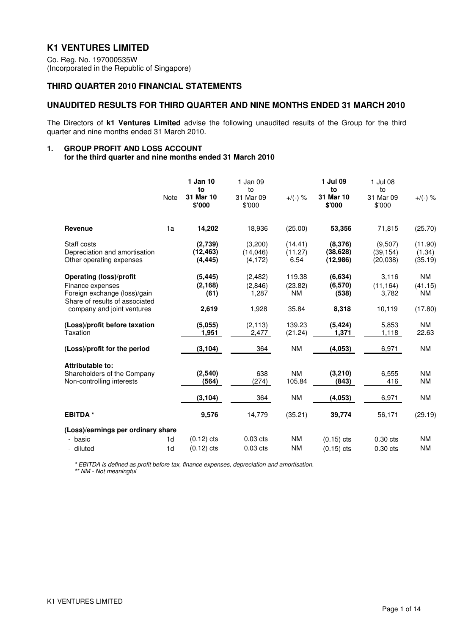# **K1 VENTURES LIMITED**

Co. Reg. No. 197000535W (Incorporated in the Republic of Singapore)

### **THIRD QUARTER 2010 FINANCIAL STATEMENTS**

### **UNAUDITED RESULTS FOR THIRD QUARTER AND NINE MONTHS ENDED 31 MARCH 2010**

The Directors of **k1 Ventures Limited** advise the following unaudited results of the Group for the third quarter and nine months ended 31 March 2010.

#### **1. GROUP PROFIT AND LOSS ACCOUNT for the third quarter and nine months ended 31 March 2010**

|                                                                                                                                                    | Note                 | 1 Jan 10<br>to<br>31 Mar 10<br>\$'000 | 1 Jan 09<br>to<br>31 Mar 09<br>\$'000 | $+/(-)$ %                        | 1 Jul 09<br>to<br>31 Mar 10<br>\$'000 | 1 Jul 08<br>to<br>31 Mar 09<br>\$'000 | $+/(-)$ %                      |
|----------------------------------------------------------------------------------------------------------------------------------------------------|----------------------|---------------------------------------|---------------------------------------|----------------------------------|---------------------------------------|---------------------------------------|--------------------------------|
| <b>Revenue</b>                                                                                                                                     | 1a                   | 14,202                                | 18,936                                | (25.00)                          | 53,356                                | 71,815                                | (25.70)                        |
| Staff costs<br>Depreciation and amortisation<br>Other operating expenses                                                                           |                      | (2,739)<br>(12, 463)<br>(4, 445)      | (3,200)<br>(14,046)<br>(4, 172)       | (14.41)<br>(11.27)<br>6.54       | (8,376)<br>(38, 628)<br>(12, 986)     | (9,507)<br>(39, 154)<br>(20, 038)     | (11.90)<br>(1.34)<br>(35.19)   |
| <b>Operating (loss)/profit</b><br>Finance expenses<br>Foreign exchange (loss)/gain<br>Share of results of associated<br>company and joint ventures |                      | (5, 445)<br>(2, 168)<br>(61)<br>2,619 | (2,482)<br>(2,846)<br>1,287<br>1,928  | 119.38<br>(23.82)<br>NM<br>35.84 | (6,634)<br>(6,570)<br>(538)<br>8,318  | 3,116<br>(11, 164)<br>3,782<br>10,119 | NM<br>(41.15)<br>NM<br>(17.80) |
| (Loss)/profit before taxation<br>Taxation                                                                                                          |                      | (5,055)<br>1,951                      | (2, 113)<br>2,477                     | 139.23<br>(21.24)                | (5, 424)<br>1,371                     | 5,853<br>1,118                        | NM<br>22.63                    |
| (Loss)/profit for the period                                                                                                                       |                      | (3, 104)                              | 364                                   | <b>NM</b>                        | (4,053)                               | 6,971                                 | <b>NM</b>                      |
| Attributable to:<br>Shareholders of the Company<br>Non-controlling interests                                                                       |                      | (2,540)<br>(564)                      | 638<br>(274)                          | <b>NM</b><br>105.84              | (3,210)<br>(843)                      | 6,555<br>416                          | <b>NM</b><br><b>NM</b>         |
|                                                                                                                                                    |                      | (3, 104)                              | 364                                   | <b>NM</b>                        | (4,053)                               | 6,971                                 | <b>NM</b>                      |
| <b>EBITDA</b> *                                                                                                                                    |                      | 9,576                                 | 14,779                                | (35.21)                          | 39,774                                | 56,171                                | (29.19)                        |
| (Loss)/earnings per ordinary share<br>- basic<br>- diluted                                                                                         | 1d<br>1 <sub>d</sub> | $(0.12)$ cts<br>$(0.12)$ cts          | $0.03$ cts<br>$0.03$ cts              | <b>NM</b><br><b>NM</b>           | $(0.15)$ cts<br>$(0.15)$ cts          | $0.30$ cts<br>$0.30$ cts              | ΝM<br><b>NM</b>                |

\* EBITDA is defined as profit before tax, finance expenses, depreciation and amortisation. \*\* NM - Not meaningful

K1 VENTURES LIMITED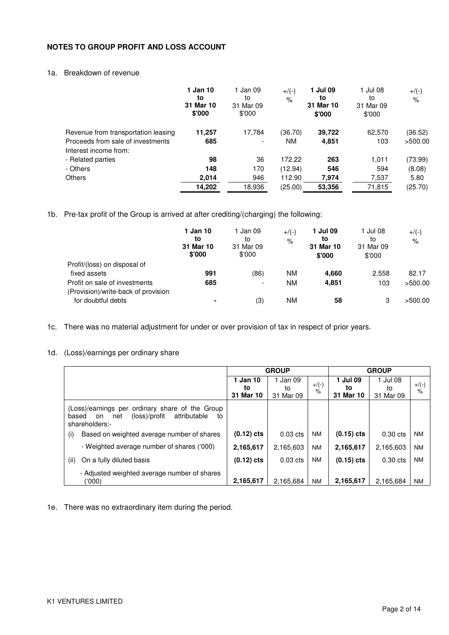### **NOTES TO GROUP PROFIT AND LOSS ACCOUNT**

### 1a. Breakdown of revenue

|                                     | 1 Jan 10<br>to<br>31 Mar 10<br>\$'000 | 1 Jan 09<br>to<br>31 Mar 09<br>\$'000 | $+$ /(-)<br>$\%$ | 1 Jul 09<br>to<br>31 Mar 10<br>\$'000 | 1 Jul 08<br>to<br>31 Mar 09<br>\$'000 | $+$ /(-)<br>$\%$ |
|-------------------------------------|---------------------------------------|---------------------------------------|------------------|---------------------------------------|---------------------------------------|------------------|
| Revenue from transportation leasing | 11,257                                | 17,784                                | (36.70)          | 39,722                                | 62,570                                | (36.52)          |
| Proceeds from sale of investments   | 685                                   | ٠                                     | <b>NM</b>        | 4,851                                 | 103                                   | >500.00          |
| Interest income from:               |                                       |                                       |                  |                                       |                                       |                  |
| - Related parties                   | 98                                    | 36                                    | 172.22           | 263                                   | 1,011                                 | (73.99)          |
| - Others                            | 148                                   | 170                                   | (12.94)          | 546                                   | 594                                   | (8.08)           |
| <b>Others</b>                       | 2,014                                 | 946                                   | 112.90           | 7,974                                 | 7,537                                 | 5.80             |
|                                     | 14,202                                | 18,936                                | (25.00)          | 53,356                                | 71,815                                | (25.70)          |

1b. Pre-tax profit of the Group is arrived at after crediting/(charging) the following:

|                                                                      | 1 Jan 10<br>to<br>31 Mar 10<br>\$'000 | 1 Jan 09<br>to<br>31 Mar 09<br>\$'000 | $+$ /(-)<br>$\%$ | 1 Jul 09<br>to<br>31 Mar 10<br>\$'000 | 1 Jul 08<br>to<br>31 Mar 09<br>\$'000 | $+$ /(-)<br>$\%$ |
|----------------------------------------------------------------------|---------------------------------------|---------------------------------------|------------------|---------------------------------------|---------------------------------------|------------------|
| Profit/(loss) on disposal of                                         |                                       |                                       |                  |                                       |                                       |                  |
| fixed assets                                                         | 991                                   | (86)                                  | ΝM               | 4,660                                 | 2.558                                 | 82.17            |
| Profit on sale of investments<br>(Provision)/write-back of provision | 685                                   | $\overline{\phantom{a}}$              | ΝM               | 4.851                                 | 103                                   | >500.00          |
| for doubtful debts                                                   | $\blacksquare$                        | (3)                                   | ΝM               | 58                                    | 3                                     | >500.00          |

1c. There was no material adjustment for under or over provision of tax in respect of prior years.

### 1d. (Loss)/earnings per ordinary share

|                                                                                                                                | <b>GROUP</b> |            |           | <b>GROUP</b> |            |           |
|--------------------------------------------------------------------------------------------------------------------------------|--------------|------------|-----------|--------------|------------|-----------|
|                                                                                                                                | 1 Jan 10     | 1 Jan 09   | $+$ /(-)  | 1 Jul 09     | Jul 08     | $+$ /(-)  |
|                                                                                                                                | to           | to         | $\%$      | to           | to         | $\%$      |
|                                                                                                                                | 31 Mar 10    | 31 Mar 09  |           | 31 Mar 10    | 31 Mar 09  |           |
| (Loss)/earnings per ordinary share of the Group<br>(loss)/profit<br>attributable<br>to<br>based<br>net<br>on<br>shareholders:- |              |            |           |              |            |           |
| Based on weighted average number of shares<br>(i)                                                                              | $(0.12)$ cts | $0.03$ cts | <b>NM</b> | $(0.15)$ cts | $0.30$ cts | <b>NM</b> |
| - Weighted average number of shares ('000)                                                                                     | 2,165,617    | 2,165,603  | <b>NM</b> | 2,165,617    | 2,165,603  | <b>NM</b> |
| On a fully diluted basis<br>(ii)                                                                                               | $(0.12)$ cts | $0.03$ cts | <b>NM</b> | $(0.15)$ cts | $0.30$ cts | <b>NM</b> |
| - Adjusted weighted average number of shares<br>(000)                                                                          | 2,165,617    | 2.165.684  | <b>NM</b> | 2,165,617    | 2.165.684  | <b>NM</b> |

1e. There was no extraordinary item during the period.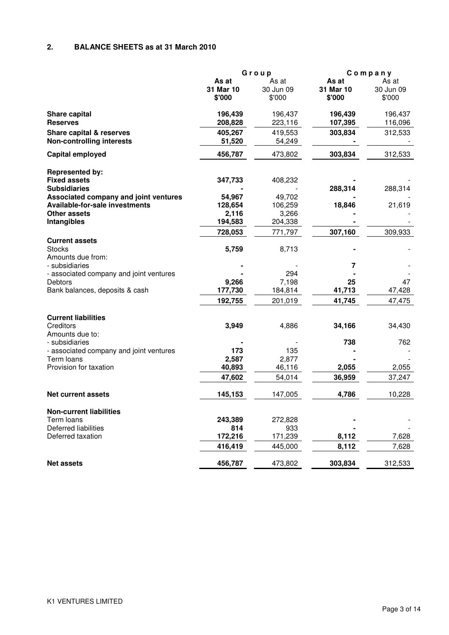# **2. BALANCE SHEETS as at 31 March 2010**

|                                                           | Group     |                  |              | Company   |
|-----------------------------------------------------------|-----------|------------------|--------------|-----------|
|                                                           | As at     | As at            | As at        | As at     |
|                                                           | 31 Mar 10 | 30 Jun 09        | 31 Mar 10    | 30 Jun 09 |
|                                                           | \$'000    | \$'000           | \$'000       | \$'000    |
| Share capital                                             | 196,439   | 196,437          | 196,439      | 196,437   |
| <b>Reserves</b>                                           | 208,828   | 223,116          | 107,395      | 116,096   |
| Share capital & reserves                                  | 405,267   | 419,553          | 303,834      | 312,533   |
| <b>Non-controlling interests</b>                          | 51,520    | 54,249           |              |           |
| Capital employed                                          | 456,787   | 473,802          | 303,834      | 312,533   |
| <b>Represented by:</b>                                    |           |                  |              |           |
| <b>Fixed assets</b>                                       | 347,733   | 408,232          |              |           |
| <b>Subsidiaries</b>                                       |           |                  | 288,314      | 288,314   |
| Associated company and joint ventures                     | 54,967    | 49,702           |              |           |
| Available-for-sale investments                            | 128,654   | 106,259          | 18,846       | 21,619    |
| <b>Other assets</b>                                       | 2,116     | 3,266            |              |           |
| Intangibles                                               | 194,583   | 204,338          |              |           |
|                                                           | 728,053   | 771,797          | 307,160      | 309,933   |
| <b>Current assets</b>                                     |           |                  |              |           |
| <b>Stocks</b>                                             | 5,759     | 8,713            |              |           |
| Amounts due from:                                         |           |                  |              |           |
| - subsidiaries                                            |           |                  | 7            |           |
| - associated company and joint ventures<br><b>Debtors</b> | 9,266     | 294              |              | 47        |
| Bank balances, deposits & cash                            | 177,730   | 7,198<br>184,814 | 25<br>41,713 | 47,428    |
|                                                           |           |                  |              |           |
|                                                           | 192,755   | 201,019          | 41,745       | 47,475    |
| <b>Current liabilities</b>                                |           |                  |              |           |
| Creditors                                                 | 3,949     | 4,886            | 34,166       | 34,430    |
| Amounts due to:<br>- subsidiaries                         |           |                  | 738          | 762       |
| - associated company and joint ventures                   | 173       | 135              |              |           |
| Term loans                                                | 2,587     | 2,877            |              |           |
| Provision for taxation                                    | 40,893    | 46,116           | 2,055        | 2,055     |
|                                                           | 47,602    | 54,014           | 36,959       | 37,247    |
| <b>Net current assets</b>                                 | 145,153   | 147,005          | 4,786        | 10,228    |
|                                                           |           |                  |              |           |
| <b>Non-current liabilities</b>                            |           |                  |              |           |
| Term loans                                                | 243,389   | 272,828          |              |           |
| <b>Deferred liabilities</b>                               | 814       | 933              |              |           |
| Deferred taxation                                         | 172,216   | 171,239          | 8,112        | 7,628     |
|                                                           | 416,419   | 445,000          | 8,112        | 7,628     |
| <b>Net assets</b>                                         | 456,787   | 473,802          | 303,834      | 312,533   |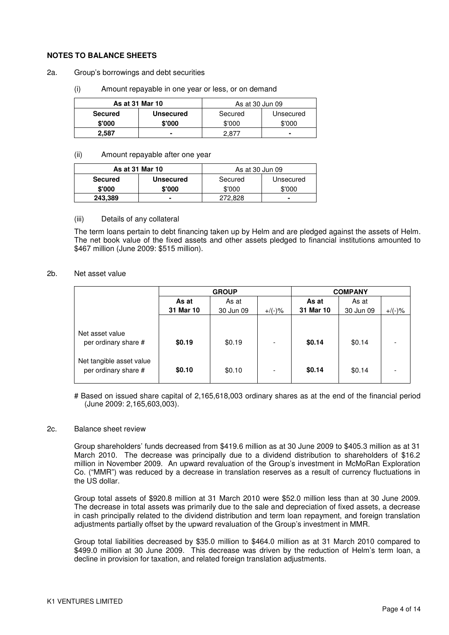#### **NOTES TO BALANCE SHEETS**

- 2a. Group's borrowings and debt securities
	- (i) Amount repayable in one year or less, or on demand

| As at 31 Mar 10 |                  | As at 30 Jun 09 |                |  |
|-----------------|------------------|-----------------|----------------|--|
| <b>Secured</b>  | <b>Unsecured</b> | Secured         | Unsecured      |  |
| \$'000          | \$'000           | \$'000          | \$'000         |  |
| 2.587           | $\blacksquare$   | 2 R7            | $\blacksquare$ |  |

#### (ii) Amount repayable after one year

| As at 31 Mar 10 |                  | As at 30 Jun 09 |           |  |  |
|-----------------|------------------|-----------------|-----------|--|--|
| <b>Secured</b>  | <b>Unsecured</b> | Secured         | Unsecured |  |  |
| \$'000          | \$'000           | \$'000          | \$'000    |  |  |
| 243,389         | $\blacksquare$   | 272.828         |           |  |  |

#### (iii) Details of any collateral

The term loans pertain to debt financing taken up by Helm and are pledged against the assets of Helm. The net book value of the fixed assets and other assets pledged to financial institutions amounted to \$467 million (June 2009: \$515 million).

#### 2b. Net asset value

|                                                  |           | <b>GROUP</b> | <b>COMPANY</b>           |           |           |           |
|--------------------------------------------------|-----------|--------------|--------------------------|-----------|-----------|-----------|
|                                                  | As at     | As at        |                          | As at     | As at     |           |
|                                                  | 31 Mar 10 | 30 Jun 09    | $+/(-)$ %                | 31 Mar 10 | 30 Jun 09 | $+/(-)$ % |
|                                                  |           |              |                          |           |           |           |
| Net asset value<br>per ordinary share #          | \$0.19    | \$0.19       | $\overline{\phantom{a}}$ | \$0.14    | \$0.14    |           |
| Net tangible asset value<br>per ordinary share # | \$0.10    | \$0.10       | $\overline{\phantom{a}}$ | \$0.14    | \$0.14    |           |

# Based on issued share capital of 2,165,618,003 ordinary shares as at the end of the financial period (June 2009: 2,165,603,003).

#### 2c. Balance sheet review

Group shareholders' funds decreased from \$419.6 million as at 30 June 2009 to \$405.3 million as at 31 March 2010. The decrease was principally due to a dividend distribution to shareholders of \$16.2 million in November 2009. An upward revaluation of the Group's investment in McMoRan Exploration Co. ("MMR") was reduced by a decrease in translation reserves as a result of currency fluctuations in the US dollar.

Group total assets of \$920.8 million at 31 March 2010 were \$52.0 million less than at 30 June 2009. The decrease in total assets was primarily due to the sale and depreciation of fixed assets, a decrease in cash principally related to the dividend distribution and term loan repayment, and foreign translation adjustments partially offset by the upward revaluation of the Group's investment in MMR.

Group total liabilities decreased by \$35.0 million to \$464.0 million as at 31 March 2010 compared to \$499.0 million at 30 June 2009. This decrease was driven by the reduction of Helm's term loan, a decline in provision for taxation, and related foreign translation adjustments.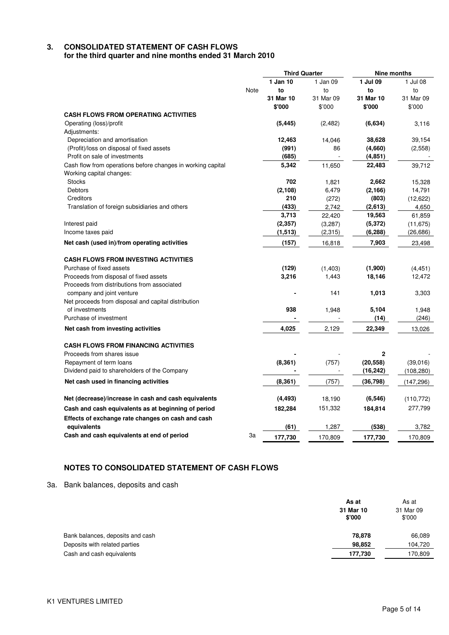# **3. CONSOLIDATED STATEMENT OF CASH FLOWS**

**for the third quarter and nine months ended 31 March 2010** 

|                                                             |           | <b>Third Quarter</b> |             | <b>Nine months</b> |
|-------------------------------------------------------------|-----------|----------------------|-------------|--------------------|
|                                                             | 1 Jan 10  | 1 Jan 09             | 1 Jul 09    | 1 Jul 08           |
| Note                                                        | to        | to                   | to          | to                 |
|                                                             | 31 Mar 10 | 31 Mar 09            | 31 Mar 10   | 31 Mar 09          |
|                                                             | \$'000    | \$'000               | \$'000      | \$'000             |
| <b>CASH FLOWS FROM OPERATING ACTIVITIES</b>                 |           |                      |             |                    |
| Operating (loss)/profit                                     | (5, 445)  | (2, 482)             | (6,634)     | 3,116              |
| Adjustments:                                                |           |                      |             |                    |
| Depreciation and amortisation                               | 12,463    | 14,046               | 38,628      | 39,154             |
| (Profit)/loss on disposal of fixed assets                   | (991)     | 86                   | (4,660)     | (2,558)            |
| Profit on sale of investments                               | (685)     |                      | (4, 851)    |                    |
| Cash flow from operations before changes in working capital | 5,342     | 11,650               | 22,483      | 39,712             |
| Working capital changes:                                    |           |                      |             |                    |
| <b>Stocks</b>                                               | 702       | 1,821                | 2,662       | 15,328             |
| <b>Debtors</b>                                              | (2, 108)  | 6,479                | (2, 166)    | 14,791             |
| Creditors                                                   | 210       | (272)                | (803)       | (12, 622)          |
| Translation of foreign subsidiaries and others              | (433)     | 2,742                | (2,613)     | 4,650              |
|                                                             | 3,713     | 22,420               | 19,563      | 61,859             |
| Interest paid                                               | (2, 357)  | (3,287)              | (5, 372)    | (11, 675)          |
| Income taxes paid                                           | (1, 513)  | (2,315)              | (6, 288)    | (26, 686)          |
| Net cash (used in)/from operating activities                | (157)     | 16,818               | 7,903       | 23,498             |
| <b>CASH FLOWS FROM INVESTING ACTIVITIES</b>                 |           |                      |             |                    |
| Purchase of fixed assets                                    | (129)     | (1,403)              | (1,900)     | (4, 451)           |
| Proceeds from disposal of fixed assets                      | 3,216     | 1,443                | 18,146      | 12,472             |
| Proceeds from distributions from associated                 |           |                      |             |                    |
| company and joint venture                                   |           | 141                  | 1,013       | 3,303              |
| Net proceeds from disposal and capital distribution         |           |                      |             |                    |
| of investments                                              | 938       | 1,948                | 5,104       | 1,948              |
| Purchase of investment                                      |           |                      | (14)        | (246)              |
| Net cash from investing activities                          | 4,025     | 2,129                | 22,349      | 13,026             |
| <b>CASH FLOWS FROM FINANCING ACTIVITIES</b>                 |           |                      |             |                    |
| Proceeds from shares issue                                  |           |                      | $\mathbf 2$ |                    |
| Repayment of term loans                                     | (8, 361)  | (757)                | (20, 558)   | (39,016)           |
| Dividend paid to shareholders of the Company                |           |                      | (16, 242)   | (108, 280)         |
|                                                             |           |                      |             |                    |
| Net cash used in financing activities                       | (8, 361)  | (757)                | (36, 798)   | (147, 296)         |
| Net (decrease)/increase in cash and cash equivalents        | (4, 493)  | 18,190               | (6, 546)    | (110, 772)         |
| Cash and cash equivalents as at beginning of period         | 182,284   | 151,332              | 184,814     | 277,799            |
| Effects of exchange rate changes on cash and cash           |           |                      |             |                    |
| equivalents                                                 | (61)      | 1,287                | (538)       | 3,782              |
| Cash and cash equivalents at end of period<br>За            | 177,730   | 170,809              | 177,730     | 170,809            |

# **NOTES TO CONSOLIDATED STATEMENT OF CASH FLOWS**

3a. Bank balances, deposits and cash

|                                  | As at<br>31 Mar 10<br>\$'000 | As at<br>31 Mar 09<br>\$'000 |
|----------------------------------|------------------------------|------------------------------|
| Bank balances, deposits and cash | 78,878                       | 66,089                       |
| Deposits with related parties    | 98,852                       | 104,720                      |
| Cash and cash equivalents        | 177,730                      | 170,809                      |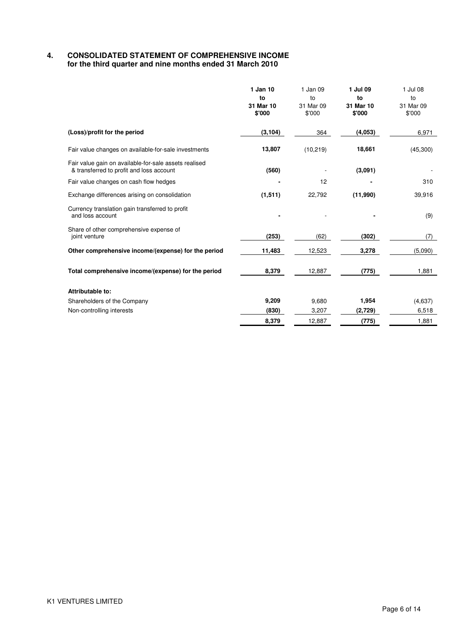#### $\overline{4}$ . **4. CONSOLIDATED STATEMENT OF COMPREHENSIVE INCOME for the third quarter and nine months ended 31 March 2010**

|                                                                                                   | 1 Jan 10<br>to<br>31 Mar 10<br>\$'000 | 1 Jan 09<br>to<br>31 Mar 09<br>\$'000 | 1 Jul 09<br>to<br>31 Mar 10<br>\$'000 | 1 Jul 08<br>to<br>31 Mar 09<br>\$'000 |
|---------------------------------------------------------------------------------------------------|---------------------------------------|---------------------------------------|---------------------------------------|---------------------------------------|
| (Loss)/profit for the period                                                                      | (3, 104)                              | 364                                   | (4,053)                               | 6,971                                 |
| Fair value changes on available-for-sale investments                                              | 13,807                                | (10, 219)                             | 18,661                                | (45,300)                              |
| Fair value gain on available-for-sale assets realised<br>& transferred to profit and loss account | (560)                                 |                                       | (3,091)                               |                                       |
| Fair value changes on cash flow hedges                                                            |                                       | 12                                    |                                       | 310                                   |
| Exchange differences arising on consolidation                                                     | (1,511)                               | 22,792                                | (11,990)                              | 39,916                                |
| Currency translation gain transferred to profit<br>and loss account                               |                                       |                                       |                                       | (9)                                   |
| Share of other comprehensive expense of<br>joint venture                                          | (253)                                 | (62)                                  | (302)                                 | (7)                                   |
| Other comprehensive income/(expense) for the period                                               | 11,483                                | 12,523                                | 3,278                                 | (5,090)                               |
| Total comprehensive income/(expense) for the period                                               | 8,379                                 | 12,887                                | (775)                                 | 1,881                                 |
| Attributable to:                                                                                  |                                       |                                       |                                       |                                       |
| Shareholders of the Company                                                                       | 9,209                                 | 9,680                                 | 1,954                                 | (4,637)                               |
| Non-controlling interests                                                                         | (830)                                 | 3,207                                 | (2,729)                               | 6,518                                 |
|                                                                                                   | 8,379                                 | 12,887                                | (775)                                 | 1,881                                 |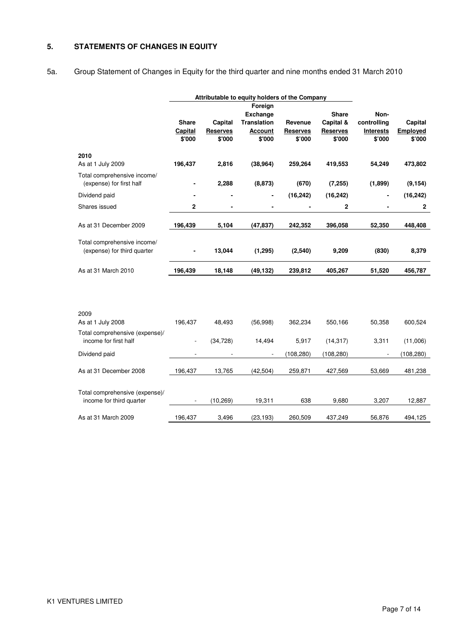### **5. STATEMENTS OF CHANGES IN EQUITY**

5a. Group Statement of Changes in Equity for the third quarter and nine months ended 31 March 2010

|                                                            |                                   |                                      | Attributable to equity holders of the Company                                |                                      |                                                        |                                                   |                               |
|------------------------------------------------------------|-----------------------------------|--------------------------------------|------------------------------------------------------------------------------|--------------------------------------|--------------------------------------------------------|---------------------------------------------------|-------------------------------|
|                                                            | <b>Share</b><br>Capital<br>\$'000 | Capital<br><b>Reserves</b><br>\$'000 | Foreign<br><b>Exchange</b><br><b>Translation</b><br><b>Account</b><br>\$'000 | Revenue<br><b>Reserves</b><br>\$'000 | <b>Share</b><br>Capital &<br><b>Reserves</b><br>\$'000 | Non-<br>controlling<br><b>Interests</b><br>\$'000 | Capital<br>Employed<br>\$'000 |
| 2010<br>As at 1 July 2009                                  | 196,437                           | 2,816                                | (38, 964)                                                                    | 259,264                              | 419,553                                                | 54,249                                            | 473,802                       |
| Total comprehensive income/<br>(expense) for first half    |                                   | 2,288                                | (8, 873)                                                                     | (670)                                | (7, 255)                                               | (1,899)                                           | (9, 154)                      |
| Dividend paid                                              |                                   |                                      |                                                                              | (16, 242)                            | (16, 242)                                              |                                                   | (16, 242)                     |
| Shares issued                                              | 2                                 |                                      |                                                                              |                                      | 2                                                      |                                                   | $\mathbf{2}$                  |
| As at 31 December 2009                                     | 196,439                           | 5,104                                | (47, 837)                                                                    | 242,352                              | 396,058                                                | 52,350                                            | 448,408                       |
| Total comprehensive income/<br>(expense) for third quarter |                                   | 13,044                               | (1, 295)                                                                     | (2,540)                              | 9,209                                                  | (830)                                             | 8,379                         |
| As at 31 March 2010                                        | 196,439                           | 18,148                               | (49, 132)                                                                    | 239,812                              | 405,267                                                | 51,520                                            | 456,787                       |
| 2009                                                       |                                   |                                      |                                                                              |                                      |                                                        |                                                   |                               |
| As at 1 July 2008                                          | 196,437                           | 48,493                               | (56,998)                                                                     | 362,234                              | 550,166                                                | 50,358                                            | 600,524                       |
| Total comprehensive (expense)/<br>income for first half    | $\overline{a}$                    | (34, 728)                            | 14,494                                                                       | 5,917                                | (14, 317)                                              | 3,311                                             | (11,006)                      |
| Dividend paid                                              |                                   |                                      |                                                                              | (108, 280)                           | (108, 280)                                             |                                                   | (108, 280)                    |
| As at 31 December 2008                                     | 196,437                           | 13,765                               | (42, 504)                                                                    | 259,871                              | 427,569                                                | 53,669                                            | 481,238                       |
| Total comprehensive (expense)/<br>income for third quarter |                                   | (10, 269)                            | 19,311                                                                       | 638                                  | 9,680                                                  | 3,207                                             | 12,887                        |
| As at 31 March 2009                                        | 196,437                           | 3,496                                | (23, 193)                                                                    | 260,509                              | 437,249                                                | 56,876                                            | 494,125                       |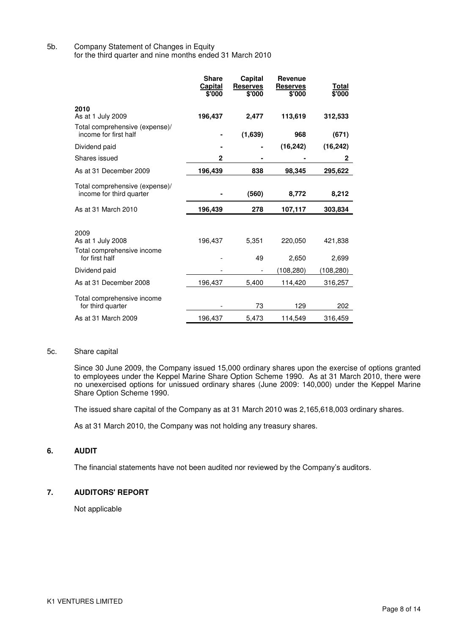5b. Company Statement of Changes in Equity for the third quarter and nine months ended 31 March 2010

|                                                                           | <b>Share</b><br>Capital<br>\$'000 | Capital<br><b>Reserves</b><br>\$'000 | Revenue<br><b>Reserves</b><br>\$'000 | Total<br>\$'000  |
|---------------------------------------------------------------------------|-----------------------------------|--------------------------------------|--------------------------------------|------------------|
| 2010                                                                      |                                   |                                      |                                      |                  |
| As at 1 July 2009                                                         | 196,437                           | 2,477                                | 113,619                              | 312,533          |
| Total comprehensive (expense)/<br>income for first half                   |                                   | (1,639)                              | 968                                  | (671)            |
| Dividend paid                                                             |                                   |                                      | (16, 242)                            | (16, 242)        |
| Shares issued                                                             | $\mathbf{2}$                      |                                      |                                      | 2                |
| As at 31 December 2009                                                    | 196,439                           | 838                                  | 98,345                               | 295,622          |
| Total comprehensive (expense)/<br>income for third quarter                |                                   | (560)                                | 8,772                                | 8,212            |
| As at 31 March 2010                                                       | 196,439                           | 278                                  | 107,117                              | 303,834          |
| 2009<br>As at 1 July 2008<br>Total comprehensive income<br>for first half | 196,437                           | 5,351<br>49                          | 220,050<br>2,650                     | 421,838<br>2,699 |
| Dividend paid                                                             |                                   |                                      | (108, 280)                           | (108, 280)       |
|                                                                           |                                   |                                      |                                      |                  |
| As at 31 December 2008                                                    | 196,437                           | 5,400                                | 114,420                              | 316,257          |
| Total comprehensive income<br>for third quarter                           |                                   | 73                                   | 129                                  | 202              |
| As at 31 March 2009                                                       | 196,437                           | 5,473                                | 114,549                              | 316,459          |

#### 5c. Share capital

Since 30 June 2009, the Company issued 15,000 ordinary shares upon the exercise of options granted to employees under the Keppel Marine Share Option Scheme 1990. As at 31 March 2010, there were no unexercised options for unissued ordinary shares (June 2009: 140,000) under the Keppel Marine Share Option Scheme 1990.

The issued share capital of the Company as at 31 March 2010 was 2,165,618,003 ordinary shares.

As at 31 March 2010, the Company was not holding any treasury shares.

#### **6. AUDIT**

The financial statements have not been audited nor reviewed by the Company's auditors.

### **7. AUDITORS' REPORT**

Not applicable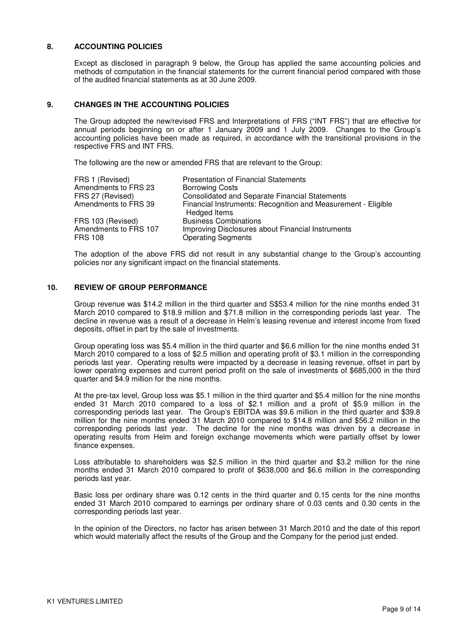#### **8. ACCOUNTING POLICIES**

Except as disclosed in paragraph 9 below, the Group has applied the same accounting policies and methods of computation in the financial statements for the current financial period compared with those of the audited financial statements as at 30 June 2009.

#### **9. CHANGES IN THE ACCOUNTING POLICIES**

The Group adopted the new/revised FRS and Interpretations of FRS ("INT FRS") that are effective for annual periods beginning on or after 1 January 2009 and 1 July 2009. Changes to the Group's accounting policies have been made as required, in accordance with the transitional provisions in the respective FRS and INT FRS.

The following are the new or amended FRS that are relevant to the Group:

| FRS 1 (Revised)                         | <b>Presentation of Financial Statements</b>                                    |
|-----------------------------------------|--------------------------------------------------------------------------------|
| Amendments to FRS 23                    | <b>Borrowing Costs</b>                                                         |
| FRS 27 (Revised)                        | <b>Consolidated and Separate Financial Statements</b>                          |
| Amendments to FRS 39                    | Financial Instruments: Recognition and Measurement - Eligible<br>Hedged Items  |
| FRS 103 (Revised)                       | <b>Business Combinations</b>                                                   |
| Amendments to FRS 107<br><b>FRS 108</b> | Improving Disclosures about Financial Instruments<br><b>Operating Segments</b> |

The adoption of the above FRS did not result in any substantial change to the Group's accounting policies nor any significant impact on the financial statements.

#### **10. REVIEW OF GROUP PERFORMANCE**

Group revenue was \$14.2 million in the third quarter and S\$53.4 million for the nine months ended 31 March 2010 compared to \$18.9 million and \$71.8 million in the corresponding periods last year. The decline in revenue was a result of a decrease in Helm's leasing revenue and interest income from fixed deposits, offset in part by the sale of investments.

Group operating loss was \$5.4 million in the third quarter and \$6.6 million for the nine months ended 31 March 2010 compared to a loss of \$2.5 million and operating profit of \$3.1 million in the corresponding periods last year. Operating results were impacted by a decrease in leasing revenue, offset in part by lower operating expenses and current period profit on the sale of investments of \$685,000 in the third quarter and \$4.9 million for the nine months.

At the pre-tax level, Group loss was \$5.1 million in the third quarter and \$5.4 million for the nine months ended 31 March 2010 compared to a loss of \$2.1 million and a profit of \$5.9 million in the corresponding periods last year. The Group's EBITDA was \$9.6 million in the third quarter and \$39.8 million for the nine months ended 31 March 2010 compared to \$14.8 million and \$56.2 million in the corresponding periods last year. The decline for the nine months was driven by a decrease in operating results from Helm and foreign exchange movements which were partially offset by lower finance expenses.

Loss attributable to shareholders was \$2.5 million in the third quarter and \$3.2 million for the nine months ended 31 March 2010 compared to profit of \$638,000 and \$6.6 million in the corresponding periods last year.

Basic loss per ordinary share was 0.12 cents in the third quarter and 0.15 cents for the nine months ended 31 March 2010 compared to earnings per ordinary share of 0.03 cents and 0.30 cents in the corresponding periods last year.

In the opinion of the Directors, no factor has arisen between 31 March 2010 and the date of this report which would materially affect the results of the Group and the Company for the period just ended.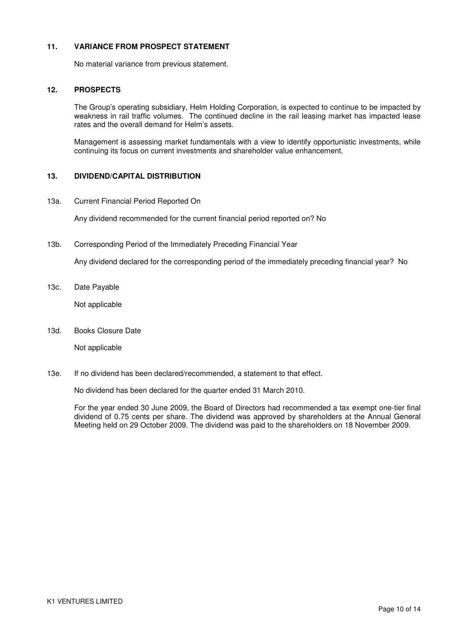#### **11. VARIANCE FROM PROSPECT STATEMENT**

No material variance from previous statement.

#### **12. PROSPECTS**

The Group's operating subsidiary, Helm Holding Corporation, is expected to continue to be impacted by weakness in rail traffic volumes. The continued decline in the rail leasing market has impacted lease rates and the overall demand for Helm's assets.

Management is assessing market fundamentals with a view to identify opportunistic investments, while continuing its focus on current investments and shareholder value enhancement.

#### **13. DIVIDEND/CAPITAL DISTRIBUTION**

13a. Current Financial Period Reported On

Any dividend recommended for the current financial period reported on? No

13b. Corresponding Period of the Immediately Preceding Financial Year

Any dividend declared for the corresponding period of the immediately preceding financial year? No

13c. Date Payable

Not applicable

13d. Books Closure Date

Not applicable

13e. If no dividend has been declared/recommended, a statement to that effect.

No dividend has been declared for the quarter ended 31 March 2010.

For the year ended 30 June 2009, the Board of Directors had recommended a tax exempt one-tier final dividend of 0.75 cents per share. The dividend was approved by shareholders at the Annual General Meeting held on 29 October 2009. The dividend was paid to the shareholders on 18 November 2009.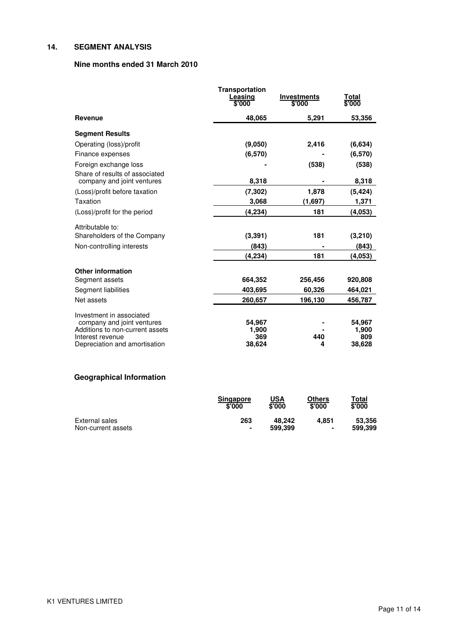# **14. SEGMENT ANALYSIS**

# **Nine months ended 31 March 2010**

|                                                   | <b>Transportation</b> |                              |                        |
|---------------------------------------------------|-----------------------|------------------------------|------------------------|
|                                                   | Leasing<br>\$'000     | <b>Investments</b><br>\$'000 | <u>Total</u><br>\$'000 |
|                                                   |                       |                              |                        |
| <b>Revenue</b>                                    | 48,065                | 5,291                        | 53,356                 |
| <b>Segment Results</b>                            |                       |                              |                        |
| Operating (loss)/profit                           | (9,050)               | 2,416                        | (6,634)                |
| Finance expenses                                  | (6,570)               |                              | (6,570)                |
| Foreign exchange loss                             |                       | (538)                        | (538)                  |
| Share of results of associated                    |                       |                              |                        |
| company and joint ventures                        | 8,318                 |                              | 8,318                  |
| (Loss)/profit before taxation                     | (7, 302)              | 1,878                        | (5, 424)               |
| Taxation                                          | 3,068                 | (1,697)                      | 1,371                  |
| (Loss)/profit for the period                      | (4,234)               | 181                          | (4,053)                |
| Attributable to:                                  |                       |                              |                        |
| Shareholders of the Company                       | (3, 391)              | 181                          | (3,210)                |
| Non-controlling interests                         | (843)                 |                              | (843)                  |
|                                                   | (4, 234)              | 181                          | (4,053)                |
| <b>Other information</b>                          |                       |                              |                        |
| Segment assets                                    | 664,352               | 256,456                      | 920,808                |
| Segment liabilities                               | 403.695               | 60,326                       | 464,021                |
| Net assets                                        | 260,657               | 196,130                      | 456,787                |
| Investment in associated                          |                       |                              |                        |
| company and joint ventures                        | 54,967                |                              | 54,967                 |
| Additions to non-current assets                   | 1,900                 | 440                          | 1,900                  |
| Interest revenue<br>Depreciation and amortisation | 369<br>38,624         | 4                            | 809<br>38,628          |
|                                                   |                       |                              |                        |

# **Geographical Information**

|                    | <b>Singapore</b><br>\$'000 | USA<br>\$'000 | Others<br>\$'000 | Total<br>\$'000 |
|--------------------|----------------------------|---------------|------------------|-----------------|
| External sales     | 263                        | 48.242        | 4.851            | 53,356          |
| Non-current assets | $\blacksquare$             | 599.399       | $\blacksquare$   | 599.399         |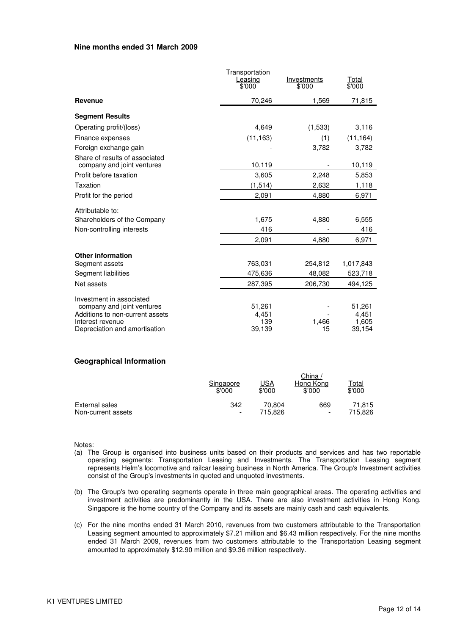#### **Nine months ended 31 March 2009**

|                                                              | Transportation<br><u>Leasing</u><br>\$'000 | Investments<br>\$'000 | <u>Total</u><br>\$'000 |
|--------------------------------------------------------------|--------------------------------------------|-----------------------|------------------------|
| <b>Revenue</b>                                               | 70,246                                     | 1,569                 | 71,815                 |
| <b>Segment Results</b>                                       |                                            |                       |                        |
| Operating profit/(loss)                                      | 4,649                                      | (1,533)               | 3,116                  |
| Finance expenses                                             | (11, 163)                                  | (1)                   | (11, 164)              |
| Foreign exchange gain                                        |                                            | 3,782                 | 3,782                  |
| Share of results of associated<br>company and joint ventures | 10,119                                     |                       | 10,119                 |
| Profit before taxation                                       | 3,605                                      | 2,248                 | 5,853                  |
| Taxation                                                     | (1,514)                                    | 2,632                 | 1,118                  |
| Profit for the period                                        | 2,091                                      | 4,880                 | 6,971                  |
| Attributable to:                                             |                                            |                       |                        |
| Shareholders of the Company                                  | 1,675                                      | 4,880                 | 6,555                  |
| Non-controlling interests                                    | 416                                        |                       | 416                    |
|                                                              | 2,091                                      | 4,880                 | 6,971                  |
| <b>Other information</b>                                     |                                            |                       |                        |
| Segment assets                                               | 763,031                                    | 254,812               | 1,017,843              |
| Segment liabilities                                          | 475,636                                    | 48,082                | 523,718                |
| Net assets                                                   | 287,395                                    | 206,730               | 494,125                |
| Investment in associated                                     |                                            |                       |                        |
| company and joint ventures                                   | 51,261                                     |                       | 51,261                 |
| Additions to non-current assets<br>Interest revenue          | 4,451<br>139                               | 1,466                 | 4,451<br>1,605         |
| Depreciation and amortisation                                | 39,139                                     | 15                    | 39,154                 |

#### **Geographical Information**

|                    | Singapore<br>\$'000      | <u>USA</u><br>\$'000 | China ∧<br>Hong Kong<br>\$'000 | Total<br>\$'000 |
|--------------------|--------------------------|----------------------|--------------------------------|-----------------|
| External sales     | 342                      | 70.804               | 669                            | 71.815          |
| Non-current assets | $\overline{\phantom{a}}$ | 715.826              | $\overline{\phantom{0}}$       | 715,826         |

Notes:

- (a) The Group is organised into business units based on their products and services and has two reportable operating segments: Transportation Leasing and Investments. The Transportation Leasing segment represents Helm's locomotive and railcar leasing business in North America. The Group's Investment activities consist of the Group's investments in quoted and unquoted investments.
- (b) The Group's two operating segments operate in three main geographical areas. The operating activities and investment activities are predominantly in the USA. There are also investment activities in Hong Kong. Singapore is the home country of the Company and its assets are mainly cash and cash equivalents.
- (c) For the nine months ended 31 March 2010, revenues from two customers attributable to the Transportation Leasing segment amounted to approximately \$7.21 million and \$6.43 million respectively. For the nine months ended 31 March 2009, revenues from two customers attributable to the Transportation Leasing segment amounted to approximately \$12.90 million and \$9.36 million respectively.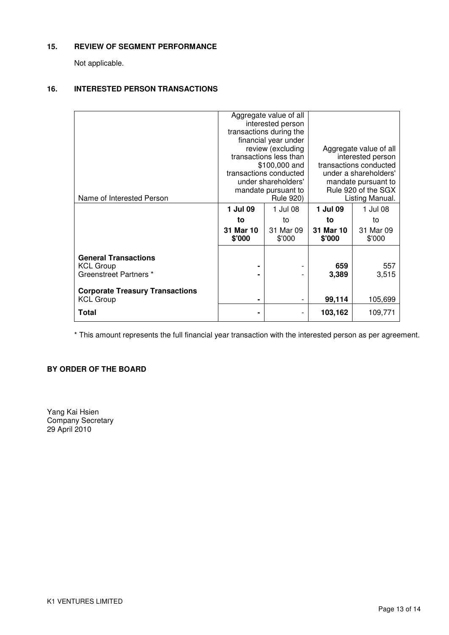# **15. REVIEW OF SEGMENT PERFORMANCE**

Not applicable.

# **16. INTERESTED PERSON TRANSACTIONS**

|                                        |                        | Aggregate value of all  |                        |           |
|----------------------------------------|------------------------|-------------------------|------------------------|-----------|
|                                        |                        | interested person       |                        |           |
|                                        |                        | transactions during the |                        |           |
|                                        |                        | financial year under    |                        |           |
|                                        |                        | review (excluding       | Aggregate value of all |           |
|                                        | transactions less than |                         | interested person      |           |
|                                        |                        | \$100,000 and           | transactions conducted |           |
|                                        |                        | transactions conducted  | under a shareholders'  |           |
|                                        |                        | under shareholders'     | mandate pursuant to    |           |
|                                        |                        | mandate pursuant to     | Rule 920 of the SGX    |           |
| Name of Interested Person              |                        | <b>Rule 920)</b>        | Listing Manual.        |           |
|                                        | 1 Jul 09               | 1 Jul 08                | 1 Jul 09               | 1 Jul 08  |
|                                        | to                     | to                      | to                     | to        |
|                                        | 31 Mar 10              | 31 Mar 09               | 31 Mar 10              | 31 Mar 09 |
|                                        | \$'000                 | \$'000                  | \$'000                 | \$'000    |
|                                        |                        |                         |                        |           |
| <b>General Transactions</b>            |                        |                         |                        |           |
| <b>KCL Group</b>                       |                        |                         | 659                    | 557       |
| Greenstreet Partners *                 | ۰                      |                         | 3,389                  | 3,515     |
|                                        |                        |                         |                        |           |
|                                        |                        |                         |                        |           |
| <b>Corporate Treasury Transactions</b> |                        |                         |                        |           |
| <b>KCL Group</b>                       | $\blacksquare$         | -                       | 99,114                 | 105,699   |
| Total                                  | ۰                      |                         | 103,162                | 109,771   |
|                                        |                        |                         |                        |           |

\* This amount represents the full financial year transaction with the interested person as per agreement.

# **BY ORDER OF THE BOARD**

Yang Kai Hsien Company Secretary 29 April 2010